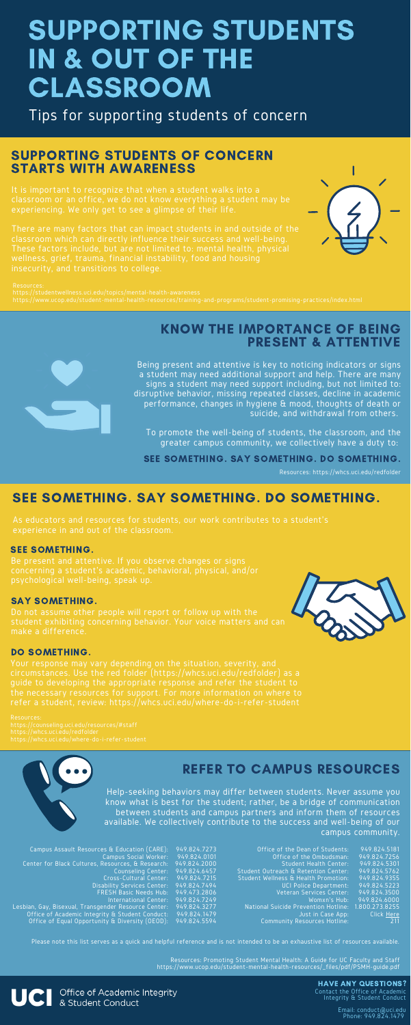# SUPPORTING STUDENTS IN & OUT OF THE CLASSROOM

Tips for supporting students of concern

There are many factors that can impact students in and outside of the insecurity, and transitions to college.





## SUPPORTING STUDENTS OF CONCERN STARTS WITH AWARENESS

Being present and attentive is key to noticing indicators or signs a student may need additional support and help. There are many signs a student may need support including, but not limited to: disruptive behavior, missing repeated classes, decline in academic performance, changes in hygiene & mood, thoughts of death or suicide, and withdrawal from others.

To promote the well-being of students, the classroom, and the greater campus community, we collectively have a duty to:

## KNOW THE IMPORTANCE OF BEING PRESENT & ATTENTIVE

#### SEE SOMETHING.

experience in and out of the classroom.

## SEE SOMETHING. SAY SOMETHING. DO SOMETHING.

#### SAY SOMETHING.

guide to developing the appropriate response and refer the student to the necessary resources for support. For more information on where to refer a student, review: https://whcs.uci.edu/where-do-i-refer-student

#### DO SOMETHING.

Help-seeking behaviors may differ between students. Never assume you know what is best for the student; rather, be a bridge of communication between students and campus partners and inform them of resources available. We collectively contribute to the success and well-being of our campus community.

## REFER TO CAMPUS RESOURCES

Be present and attentive. If you observe changes or signs psychological well-being, speak up.

Do not assume other people will report or follow up with the



student exhibiting concerning behavior. Your voice matters and can make a difference.

https://whcs.uci.edu/redfolder

| Campus Assault Resources & Education (CARE): 949.824.7273         | Office of the Dean of Students:                     | 949.824.5181 |
|-------------------------------------------------------------------|-----------------------------------------------------|--------------|
| Campus Social Worker: 949.824.0101                                | Office of the Ombudsman:                            | 949.824.7256 |
| Center for Black Cultures, Resources, & Research: 949.824.2000    | Student Health Center:                              | 949.824.5301 |
| Counseling Center: 949.824.6457                                   | Student Outreach & Retention Center:                | 949.824.5762 |
| Cross-Cultural Center: 949.824.7215                               | Student Wellness & Health Promotion:                | 949.824.9355 |
| Disability Services Center: 949.824.7494                          | UCI Police Department: 949.824.5223                 |              |
| FRESH Basic Needs Hub: 949.473.2806                               | Veteran Services Center:                            | 949.824.3500 |
| International Center: 949.824.7249                                | Womxn's Hub:                                        | 949.824.6000 |
| Lesbian, Gay, Bisexual, Transgender Resource Center: 949.824.3277 | National Suicide Prevention Hotline: 1.800.273.8255 |              |
| Office of Academic Integrity & Student Conduct: 949.824.1479      | Just in Case App:                                   | Click Here   |
| Office of Equal Opportunity & Diversity (OEOD): 949.824.5594      | Community Resources Hotline:                        | 211          |
|                                                                   |                                                     |              |

HAVE ANY QUESTIONS? Contact the Office of Academic Integrity & Student Conduct

> Email: conduct@uci.edu Phone: 949.824.1479

SEE SOMETHING. SAY SOMETHING. DO SOMETHING.

Resources: https://whcs.uci.edu/redfolder

Resources: Promoting Student Mental Health: A Guide for UC Faculty and Staff https://www.ucop.edu/student-mental-health-resources/\_files/pdf/PSMH-guide.pdf

**UCI** Office of Academic Integrity<br>& Student Conduct

Please note this list serves as a quick and helpful reference and is not intended to be an exhaustive list of resources available.